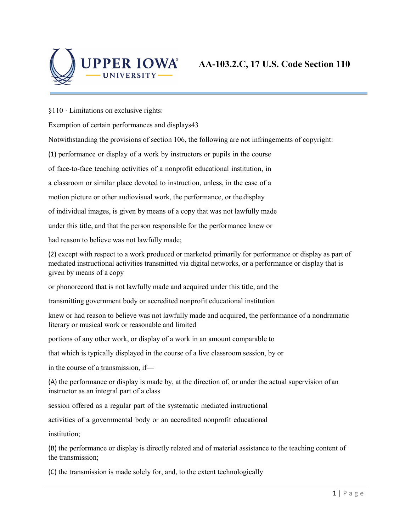

§110 · Limitations on exclusive rights:

Exemption of certain performances and displays43

Notwithstanding the provisions of section 106, the following are not infringements of copyright:

(1) performance or display of a work by instructors or pupils in the course

of face-to-face teaching activities of a nonprofit educational institution, in

a classroom or similar place devoted to instruction, unless, in the case of a

motion picture or other audiovisual work, the performance, or the display

of individual images, is given by means of a copy that was not lawfully made

under this title, and that the person responsible for the performance knew or

had reason to believe was not lawfully made;

(2) except with respect to a work produced or marketed primarily for performance or display as part of mediated instructional activities transmitted via digital networks, or a performance or display that is given by means of a copy

or phonorecord that is not lawfully made and acquired under this title, and the

transmitting government body or accredited nonprofit educational institution

knew or had reason to believe was not lawfully made and acquired, the performance of a nondramatic literary or musical work or reasonable and limited

portions of any other work, or display of a work in an amount comparable to

that which is typically displayed in the course of a live classroom session, by or

in the course of a transmission, if—

(A) the performance or display is made by, at the direction of, or under the actual supervision of an instructor as an integral part of a class

session offered as a regular part of the systematic mediated instructional

activities of a governmental body or an accredited nonprofit educational

institution;

(B) the performance or display is directly related and of material assistance to the teaching content of the transmission;

(C) the transmission is made solely for, and, to the extent technologically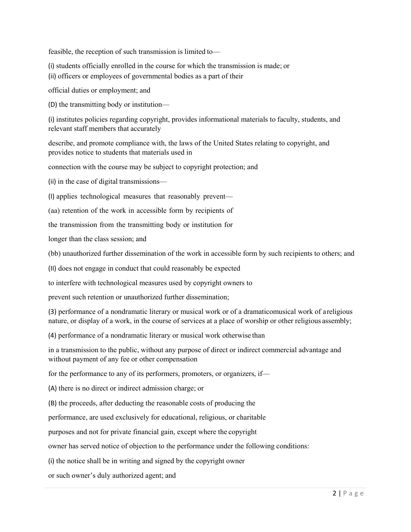feasible, the reception of such transmission is limited to—

(i) students officially enrolled in the course for which the transmission is made; or

(ii) officers or employees of governmental bodies as a part of their

official duties or employment; and

(D) the transmitting body or institution—

(i) institutes policies regarding copyright, provides informational materials to faculty, students, and relevant staff members that accurately

describe, and promote compliance with, the laws of the United States relating to copyright, and provides notice to students that materials used in

connection with the course may be subject to copyright protection; and

(ii) in the case of digital transmissions—

(I) applies technological measures that reasonably prevent—

(aa) retention of the work in accessible form by recipients of

the transmission from the transmitting body or institution for

longer than the class session; and

(bb) unauthorized further dissemination of the work in accessible form by such recipients to others; and

(II) does not engage in conduct that could reasonably be expected

to interfere with technological measures used by copyright owners to

prevent such retention or unauthorized further dissemination;

(3) performance of a nondramatic literary or musical work or of a dramaticomusical work of areligious nature, or display of a work, in the course of services at a place of worship or other religious assembly;

(4) performance of a nondramatic literary or musical work otherwise than

in a transmission to the public, without any purpose of direct or indirect commercial advantage and without payment of any fee or other compensation

for the performance to any of its performers, promoters, or organizers, if—

(A) there is no direct or indirect admission charge; or

(B) the proceeds, after deducting the reasonable costs of producing the

performance, are used exclusively for educational, religious, or charitable

purposes and not for private financial gain, except where the copyright

owner has served notice of objection to the performance under the following conditions:

(i) the notice shall be in writing and signed by the copyright owner

or such owner's duly authorized agent; and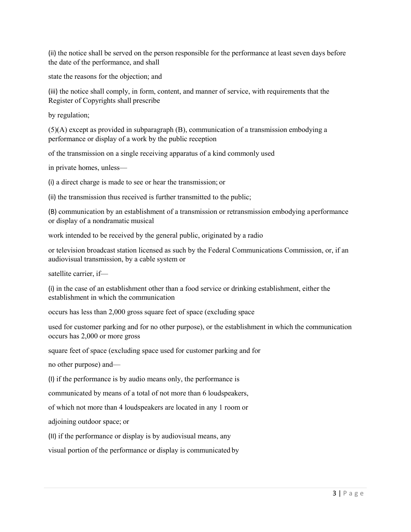(ii) the notice shall be served on the person responsible for the performance at least seven days before the date of the performance, and shall

state the reasons for the objection; and

(iii) the notice shall comply, in form, content, and manner of service, with requirements that the Register of Copyrights shall prescribe

by regulation;

(5)(A) except as provided in subparagraph (B), communication of a transmission embodying a performance or display of a work by the public reception

of the transmission on a single receiving apparatus of a kind commonly used

in private homes, unless—

(i) a direct charge is made to see or hear the transmission; or

(ii) the transmission thus received is further transmitted to the public;

(B) communication by an establishment of a transmission or retransmission embodying aperformance or display of a nondramatic musical

work intended to be received by the general public, originated by a radio

or television broadcast station licensed as such by the Federal Communications Commission, or, if an audiovisual transmission, by a cable system or

satellite carrier, if—

(i) in the case of an establishment other than a food service or drinking establishment, either the establishment in which the communication

occurs has less than 2,000 gross square feet of space (excluding space

used for customer parking and for no other purpose), or the establishment in which the communication occurs has 2,000 or more gross

square feet of space (excluding space used for customer parking and for

no other purpose) and—

(I) if the performance is by audio means only, the performance is

communicated by means of a total of not more than 6 loudspeakers,

of which not more than 4 loudspeakers are located in any 1 room or

adjoining outdoor space; or

(II) if the performance or display is by audiovisual means, any

visual portion of the performance or display is communicated by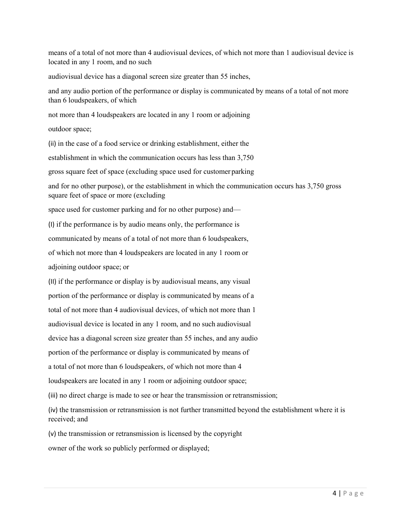means of a total of not more than 4 audiovisual devices, of which not more than 1 audiovisual device is located in any 1 room, and no such

audiovisual device has a diagonal screen size greater than 55 inches,

and any audio portion of the performance or display is communicated by means of a total of not more than 6 loudspeakers, of which

not more than 4 loudspeakers are located in any 1 room or adjoining

outdoor space;

(ii) in the case of a food service or drinking establishment, either the

establishment in which the communication occurs has less than 3,750

gross square feet of space (excluding space used for customer parking

and for no other purpose), or the establishment in which the communication occurs has 3,750 gross square feet of space or more (excluding

space used for customer parking and for no other purpose) and—

(I) if the performance is by audio means only, the performance is

communicated by means of a total of not more than 6 loudspeakers,

of which not more than 4 loudspeakers are located in any 1 room or

adjoining outdoor space; or

(II) if the performance or display is by audiovisual means, any visual

portion of the performance or display is communicated by means of a

total of not more than 4 audiovisual devices, of which not more than 1

audiovisual device is located in any 1 room, and no such audiovisual

device has a diagonal screen size greater than 55 inches, and any audio

portion of the performance or display is communicated by means of

a total of not more than 6 loudspeakers, of which not more than 4

loudspeakers are located in any 1 room or adjoining outdoor space;

(iii) no direct charge is made to see or hear the transmission or retransmission;

(iv) the transmission or retransmission is not further transmitted beyond the establishment where it is received; and

(v) the transmission or retransmission is licensed by the copyright

owner of the work so publicly performed or displayed;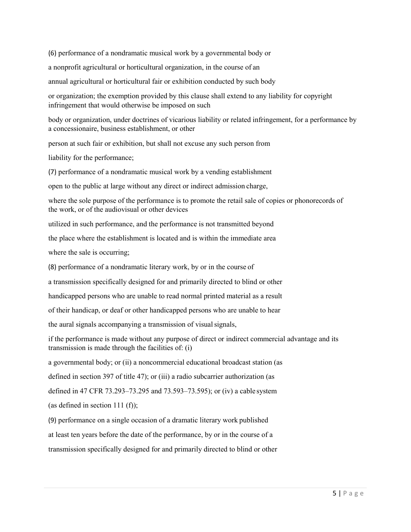(6) performance of a nondramatic musical work by a governmental body or a nonprofit agricultural or horticultural organization, in the course of an annual agricultural or horticultural fair or exhibition conducted by such body

or organization; the exemption provided by this clause shall extend to any liability for copyright infringement that would otherwise be imposed on such

body or organization, under doctrines of vicarious liability or related infringement, for a performance by a concessionaire, business establishment, or other

person at such fair or exhibition, but shall not excuse any such person from

liability for the performance;

(7) performance of a nondramatic musical work by a vending establishment

open to the public at large without any direct or indirect admission charge,

where the sole purpose of the performance is to promote the retail sale of copies or phonorecords of the work, or of the audiovisual or other devices

utilized in such performance, and the performance is not transmitted beyond

the place where the establishment is located and is within the immediate area

where the sale is occurring;

(8) performance of a nondramatic literary work, by or in the course of

a transmission specifically designed for and primarily directed to blind or other

handicapped persons who are unable to read normal printed material as a result

of their handicap, or deaf or other handicapped persons who are unable to hear

the aural signals accompanying a transmission of visual signals,

if the performance is made without any purpose of direct or indirect commercial advantage and its transmission is made through the facilities of: (i)

a governmental body; or (ii) a noncommercial educational broadcast station (as

defined in section 397 of title 47); or (iii) a radio subcarrier authorization (as

defined in 47 CFR 73.293–73.295 and 73.593–73.595); or (iv) a cable system

(as defined in section 111 (f));

(9) performance on a single occasion of a dramatic literary work published at least ten years before the date of the performance, by or in the course of a transmission specifically designed for and primarily directed to blind or other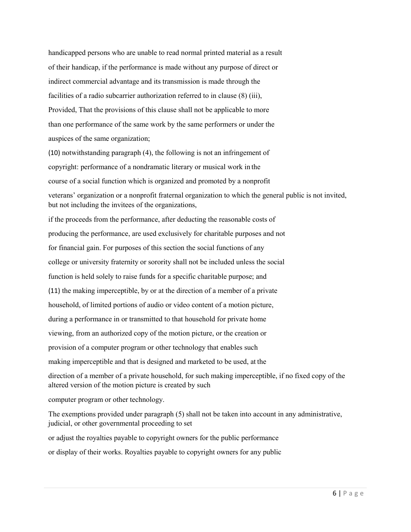handicapped persons who are unable to read normal printed material as a result of their handicap, if the performance is made without any purpose of direct or indirect commercial advantage and its transmission is made through the facilities of a radio subcarrier authorization referred to in clause (8) (iii), Provided, That the provisions of this clause shall not be applicable to more than one performance of the same work by the same performers or under the auspices of the same organization;

(10) notwithstanding paragraph (4), the following is not an infringement of copyright: performance of a nondramatic literary or musical work in the course of a social function which is organized and promoted by a nonprofit veterans' organization or a nonprofit fraternal organization to which the general public is not invited, but not including the invitees of the organizations,

if the proceeds from the performance, after deducting the reasonable costs of producing the performance, are used exclusively for charitable purposes and not for financial gain. For purposes of this section the social functions of any college or university fraternity or sorority shall not be included unless the social function is held solely to raise funds for a specific charitable purpose; and (11) the making imperceptible, by or at the direction of a member of a private household, of limited portions of audio or video content of a motion picture, during a performance in or transmitted to that household for private home viewing, from an authorized copy of the motion picture, or the creation or provision of a computer program or other technology that enables such making imperceptible and that is designed and marketed to be used, at the direction of a member of a private household, for such making imperceptible, if no fixed copy of the altered version of the motion picture is created by such

computer program or other technology.

The exemptions provided under paragraph (5) shall not be taken into account in any administrative, judicial, or other governmental proceeding to set

or adjust the royalties payable to copyright owners for the public performance or display of their works. Royalties payable to copyright owners for any public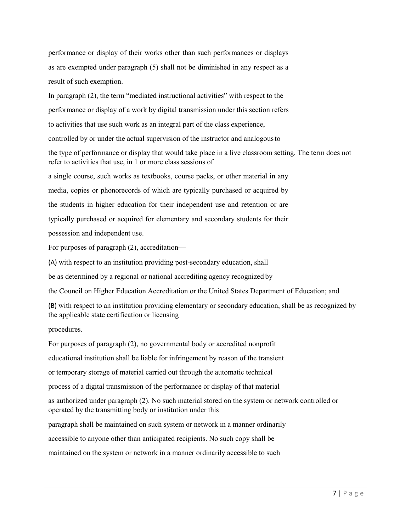performance or display of their works other than such performances or displays as are exempted under paragraph (5) shall not be diminished in any respect as a result of such exemption.

In paragraph (2), the term "mediated instructional activities" with respect to the performance or display of a work by digital transmission under this section refers to activities that use such work as an integral part of the class experience, controlled by or under the actual supervision of the instructor and analogousto the type of performance or display that would take place in a live classroom setting. The term does not refer to activities that use, in 1 or more class sessions of a single course, such works as textbooks, course packs, or other material in any media, copies or phonorecords of which are typically purchased or acquired by the students in higher education for their independent use and retention or are

typically purchased or acquired for elementary and secondary students for their possession and independent use.

For purposes of paragraph (2), accreditation—

(A) with respect to an institution providing post-secondary education, shall

be as determined by a regional or national accrediting agency recognized by

the Council on Higher Education Accreditation or the United States Department of Education; and

(B) with respect to an institution providing elementary or secondary education, shall be as recognized by the applicable state certification or licensing

procedures.

For purposes of paragraph (2), no governmental body or accredited nonprofit educational institution shall be liable for infringement by reason of the transient or temporary storage of material carried out through the automatic technical process of a digital transmission of the performance or display of that material as authorized under paragraph (2). No such material stored on the system or network controlled or operated by the transmitting body or institution under this paragraph shall be maintained on such system or network in a manner ordinarily accessible to anyone other than anticipated recipients. No such copy shall be

maintained on the system or network in a manner ordinarily accessible to such